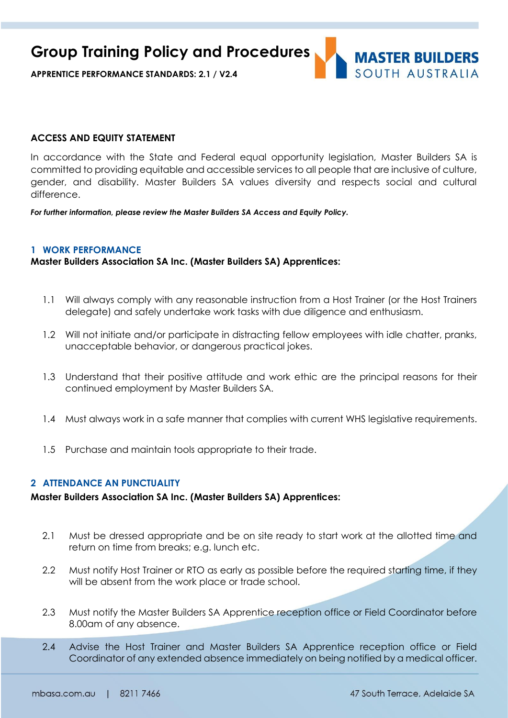**APPRENTICE PERFORMANCE STANDARDS: 2.1 / V2.4**

#### **ACCESS AND EQUITY STATEMENT**

In accordance with the State and Federal equal opportunity legislation, Master Builders SA is committed to providing equitable and accessible services to all people that are inclusive of culture, gender, and disability. Master Builders SA values diversity and respects social and cultural difference.

*For further information, please review the Master Builders SA Access and Equity Policy.*

#### **1 WORK PERFORMANCE**

**Master Builders Association SA Inc. (Master Builders SA) Apprentices:**

- 1.1 Will always comply with any reasonable instruction from a Host Trainer (or the Host Trainers delegate) and safely undertake work tasks with due diligence and enthusiasm.
- 1.2 Will not initiate and/or participate in distracting fellow employees with idle chatter, pranks, unacceptable behavior, or dangerous practical jokes.
- 1.3 Understand that their positive attitude and work ethic are the principal reasons for their continued employment by Master Builders SA.
- 1.4 Must always work in a safe manner that complies with current WHS legislative requirements.
- 1.5 Purchase and maintain tools appropriate to their trade.

#### **2 ATTENDANCE AN PUNCTUALITY**

#### **Master Builders Association SA Inc. (Master Builders SA) Apprentices:**

- 2.1 Must be dressed appropriate and be on site ready to start work at the allotted time and return on time from breaks; e.g. lunch etc.
- 2.2 Must notify Host Trainer or RTO as early as possible before the required starting time, if they will be absent from the work place or trade school.
- 2.3 Must notify the Master Builders SA Apprentice reception office or Field Coordinator before 8.00am of any absence.
- 2.4 Advise the Host Trainer and Master Builders SA Apprentice reception office or Field Coordinator of any extended absence immediately on being notified by a medical officer.

**MASTER BUILDERS** SOUTH AUSTRAILA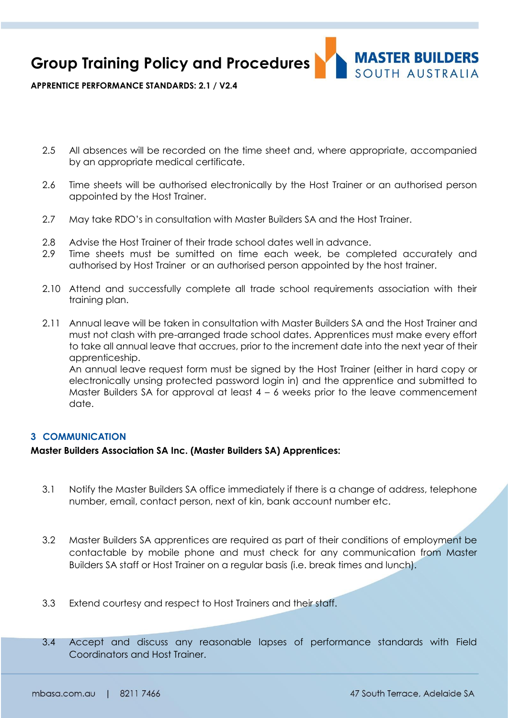**MASTER BUILDERS** SOUTH AUSTRALIA

**APPRENTICE PERFORMANCE STANDARDS: 2.1 / V2.4**

- 2.5 All absences will be recorded on the time sheet and, where appropriate, accompanied by an appropriate medical certificate.
- 2.6 Time sheets will be authorised electronically by the Host Trainer or an authorised person appointed by the Host Trainer.
- 2.7 May take RDO's in consultation with Master Builders SA and the Host Trainer.
- 2.8 Advise the Host Trainer of their trade school dates well in advance.
- 2.9 Time sheets must be sumitted on time each week, be completed accurately and authorised by Host Trainer or an authorised person appointed by the host trainer.
- 2.10 Attend and successfully complete all trade school requirements association with their training plan.
- 2.11 Annual leave will be taken in consultation with Master Builders SA and the Host Trainer and must not clash with pre-arranged trade school dates. Apprentices must make every effort to take all annual leave that accrues, prior to the increment date into the next year of their apprenticeship.

An annual leave request form must be signed by the Host Trainer (either in hard copy or electronically unsing protected password login in) and the apprentice and submitted to Master Builders SA for approval at least 4 – 6 weeks prior to the leave commencement date.

### **3 COMMUNICATION**

#### **Master Builders Association SA Inc. (Master Builders SA) Apprentices:**

- 3.1 Notify the Master Builders SA office immediately if there is a change of address, telephone number, email, contact person, next of kin, bank account number etc.
- 3.2 Master Builders SA apprentices are required as part of their conditions of employment be contactable by mobile phone and must check for any communication from Master Builders SA staff or Host Trainer on a regular basis (i.e. break times and lunch).
- 3.3 Extend courtesy and respect to Host Trainers and their staff.
- 3.4 Accept and discuss any reasonable lapses of performance standards with Field Coordinators and Host Trainer.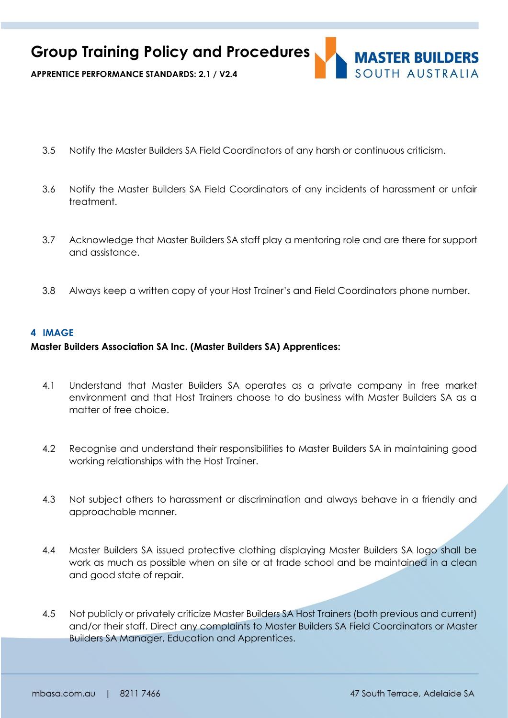

**APPRENTICE PERFORMANCE STANDARDS: 2.1 / V2.4**

- 3.5 Notify the Master Builders SA Field Coordinators of any harsh or continuous criticism.
- 3.6 Notify the Master Builders SA Field Coordinators of any incidents of harassment or unfair treatment.
- 3.7 Acknowledge that Master Builders SA staff play a mentoring role and are there for support and assistance.
- 3.8 Always keep a written copy of your Host Trainer's and Field Coordinators phone number.

### **4 IMAGE**

### **Master Builders Association SA Inc. (Master Builders SA) Apprentices:**

- 4.1 Understand that Master Builders SA operates as a private company in free market environment and that Host Trainers choose to do business with Master Builders SA as a matter of free choice.
- 4.2 Recognise and understand their responsibilities to Master Builders SA in maintaining good working relationships with the Host Trainer.
- 4.3 Not subject others to harassment or discrimination and always behave in a friendly and approachable manner.
- 4.4 Master Builders SA issued protective clothing displaying Master Builders SA logo shall be work as much as possible when on site or at trade school and be maintained in a clean and good state of repair.
- 4.5 Not publicly or privately criticize Master Builders SA Host Trainers (both previous and current) and/or their staff. Direct any complaints to Master Builders SA Field Coordinators or Master Builders SA Manager, Education and Apprentices.